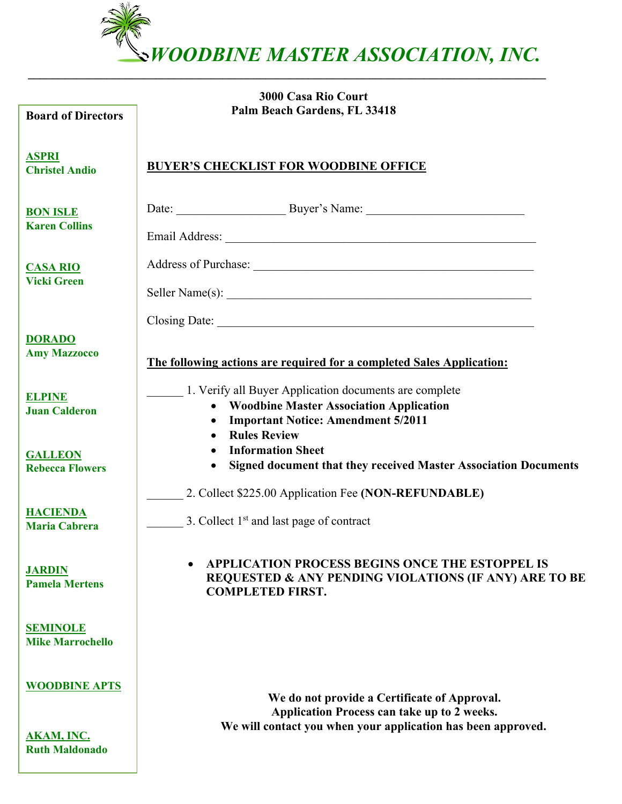*WOODBINE MASTER ASSOCIATION, INC.*

**\_\_\_\_\_\_\_\_\_\_\_\_\_\_\_\_\_\_\_\_\_\_\_\_\_\_\_\_\_\_\_\_\_\_\_\_\_\_\_\_\_\_\_\_\_\_\_\_\_\_\_\_\_\_\_\_\_\_\_\_\_\_\_\_\_\_\_\_\_\_\_\_\_\_\_\_\_\_\_\_\_\_\_\_\_**

| <b>Board of Directors</b>                  | <b>3000 Casa Rio Court</b><br>Palm Beach Gardens, FL 33418                                                                                                                   |  |  |  |  |
|--------------------------------------------|------------------------------------------------------------------------------------------------------------------------------------------------------------------------------|--|--|--|--|
| <b>ASPRI</b><br><b>Christel Andio</b>      | <b>BUYER'S CHECKLIST FOR WOODBINE OFFICE</b>                                                                                                                                 |  |  |  |  |
| <b>BON ISLE</b><br><b>Karen Collins</b>    |                                                                                                                                                                              |  |  |  |  |
| <b>CASA RIO</b><br><b>Vicki Green</b>      | Seller Name(s):                                                                                                                                                              |  |  |  |  |
| <b>DORADO</b><br><b>Amy Mazzocco</b>       | The following actions are required for a completed Sales Application:                                                                                                        |  |  |  |  |
| <b>ELPINE</b><br><b>Juan Calderon</b>      | 1. Verify all Buyer Application documents are complete<br><b>Woodbine Master Association Application</b><br><b>Important Notice: Amendment 5/2011</b><br><b>Rules Review</b> |  |  |  |  |
| <b>GALLEON</b><br><b>Rebecca Flowers</b>   | <b>Information Sheet</b><br>Signed document that they received Master Association Documents                                                                                  |  |  |  |  |
| <b>HACIENDA</b><br>Maria Cabrera           | 2. Collect \$225.00 Application Fee (NON-REFUNDABLE)<br>3. Collect $1st$ and last page of contract                                                                           |  |  |  |  |
| <u>JARDIN</u><br><b>Pamela Mertens</b>     | APPLICATION PROCESS BEGINS ONCE THE ESTOPPEL IS<br><b>REQUESTED &amp; ANY PENDING VIOLATIONS (IF ANY) ARE TO BE</b><br><b>COMPLETED FIRST.</b>                               |  |  |  |  |
| <u>SEMINOLE</u><br><b>Mike Marrochello</b> |                                                                                                                                                                              |  |  |  |  |
| <b>WOODBINE APTS</b>                       | We do not provide a Certificate of Approval.<br>Application Process can take up to 2 weeks.                                                                                  |  |  |  |  |
| <u>AKAM, INC.</u><br><b>Ruth Maldonado</b> | We will contact you when your application has been approved.                                                                                                                 |  |  |  |  |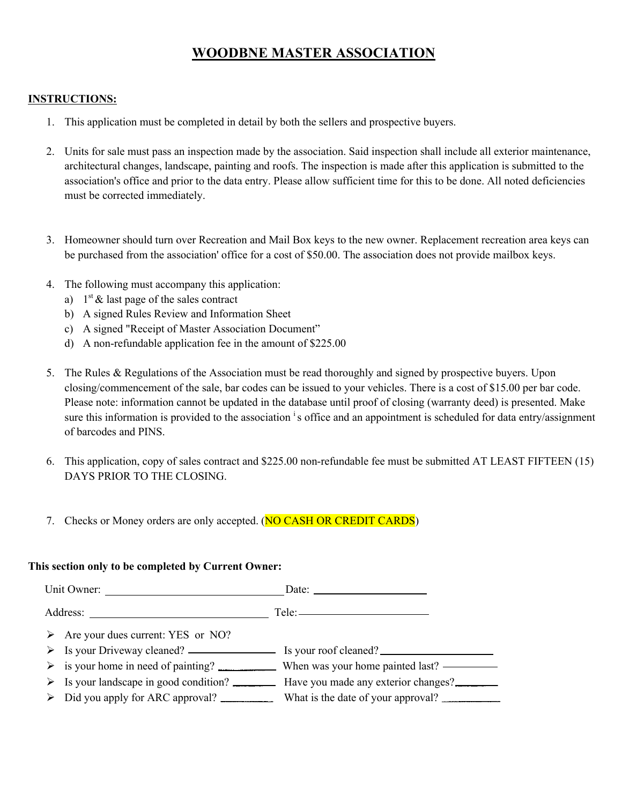# **WOODBNE MASTER ASSOCIATION**

#### **INSTRUCTIONS:**

- 1. This application must be completed in detail by both the sellers and prospective buyers.
- 2. Units for sale must pass an inspection made by the association. Said inspection shall include all exterior maintenance, architectural changes, landscape, painting and roofs. The inspection is made after this application is submitted to the association's office and prior to the data entry. Please allow sufficient time for this to be done. All noted deficiencies must be corrected immediately.
- 3. Homeowner should turn over Recreation and Mail Box keys to the new owner. Replacement recreation area keys can be purchased from the association' office for a cost of \$50.00. The association does not provide mailbox keys.
- 4. The following must accompany this application:
	- a)  $1<sup>st</sup> \&$  last page of the sales contract
	- b) A signed Rules Review and Information Sheet
	- c) A signed "Receipt of Master Association Document"
	- d) A non-refundable application fee in the amount of \$225.00
- 5. The Rules & Regulations of the Association must be read thoroughly and signed by prospective buyers. Upon closing/commencement of the sale, bar codes can be issued to your vehicles. There is a cost of \$15.00 per bar code. Please note: information cannot be updated in the database until proof of closing (warranty deed) is presented. Make sure this information is provided to the association <sup>i</sup>s office and an appointment is scheduled for data entry/assignment of barcodes and PINS.
- 6. This application, copy of sales contract and \$225.00 non-refundable fee must be submitted AT LEAST FIFTEEN (15) DAYS PRIOR TO THE CLOSING.
- 7. Checks or Money orders are only accepted. (NO CASH OR CREDIT CARDS)

#### **This section only to be completed by Current Owner:**

Unit Owner: Date: Date: Date: 2008 Address: Tele: ▶ Are your dues current: YES or NO?  $\triangleright$  Is your Driveway cleaned?  $\blacksquare$  Is your roof cleaned? ! is your home in need of painting? When was your home painted last?  $\triangleright$  Is your landscape in good condition?  $\perp$  Have you made any exterior changes? > Did you apply for ARC approval? What is the date of your approval?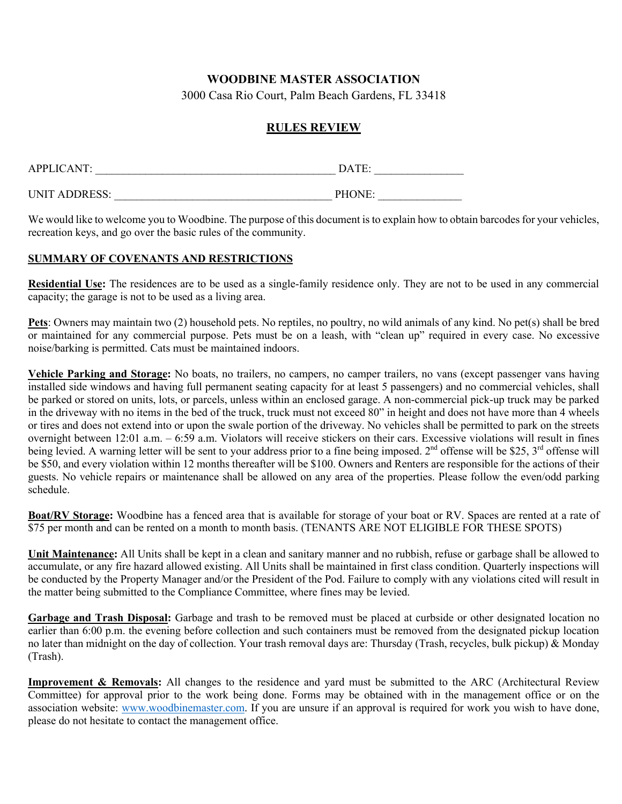## **WOODBINE MASTER ASSOCIATION**

3000 Casa Rio Court, Palm Beach Gardens, FL 33418

### **RULES REVIEW**

| <b>APPLICANT:</b>    | DATE:  |  |  |
|----------------------|--------|--|--|
| <b>UNIT ADDRESS:</b> | PHONE: |  |  |

We would like to welcome you to Woodbine. The purpose of this document is to explain how to obtain barcodes for your vehicles, recreation keys, and go over the basic rules of the community.

#### **SUMMARY OF COVENANTS AND RESTRICTIONS**

**Residential Use:** The residences are to be used as a single-family residence only. They are not to be used in any commercial capacity; the garage is not to be used as a living area.

**Pets**: Owners may maintain two (2) household pets. No reptiles, no poultry, no wild animals of any kind. No pet(s) shall be bred or maintained for any commercial purpose. Pets must be on a leash, with "clean up" required in every case. No excessive noise/barking is permitted. Cats must be maintained indoors.

**Vehicle Parking and Storage:** No boats, no trailers, no campers, no camper trailers, no vans (except passenger vans having installed side windows and having full permanent seating capacity for at least 5 passengers) and no commercial vehicles, shall be parked or stored on units, lots, or parcels, unless within an enclosed garage. A non-commercial pick-up truck may be parked in the driveway with no items in the bed of the truck, truck must not exceed 80" in height and does not have more than 4 wheels or tires and does not extend into or upon the swale portion of the driveway. No vehicles shall be permitted to park on the streets overnight between 12:01 a.m. – 6:59 a.m. Violators will receive stickers on their cars. Excessive violations will result in fines being levied. A warning letter will be sent to your address prior to a fine being imposed. 2<sup>nd</sup> offense will be \$25, 3<sup>rd</sup> offense will be \$50, and every violation within 12 months thereafter will be \$100. Owners and Renters are responsible for the actions of their guests. No vehicle repairs or maintenance shall be allowed on any area of the properties. Please follow the even/odd parking schedule.

**Boat/RV Storage:** Woodbine has a fenced area that is available for storage of your boat or RV. Spaces are rented at a rate of \$75 per month and can be rented on a month to month basis. (TENANTS ARE NOT ELIGIBLE FOR THESE SPOTS)

**Unit Maintenance:** All Units shall be kept in a clean and sanitary manner and no rubbish, refuse or garbage shall be allowed to accumulate, or any fire hazard allowed existing. All Units shall be maintained in first class condition. Quarterly inspections will be conducted by the Property Manager and/or the President of the Pod. Failure to comply with any violations cited will result in the matter being submitted to the Compliance Committee, where fines may be levied.

**Garbage and Trash Disposal:** Garbage and trash to be removed must be placed at curbside or other designated location no earlier than 6:00 p.m. the evening before collection and such containers must be removed from the designated pickup location no later than midnight on the day of collection. Your trash removal days are: Thursday (Trash, recycles, bulk pickup)  $\&$  Monday (Trash).

**Improvement & Removals:** All changes to the residence and yard must be submitted to the ARC (Architectural Review Committee) for approval prior to the work being done. Forms may be obtained with in the management office or on the association website: www.woodbinemaster.com. If you are unsure if an approval is required for work you wish to have done, please do not hesitate to contact the management office.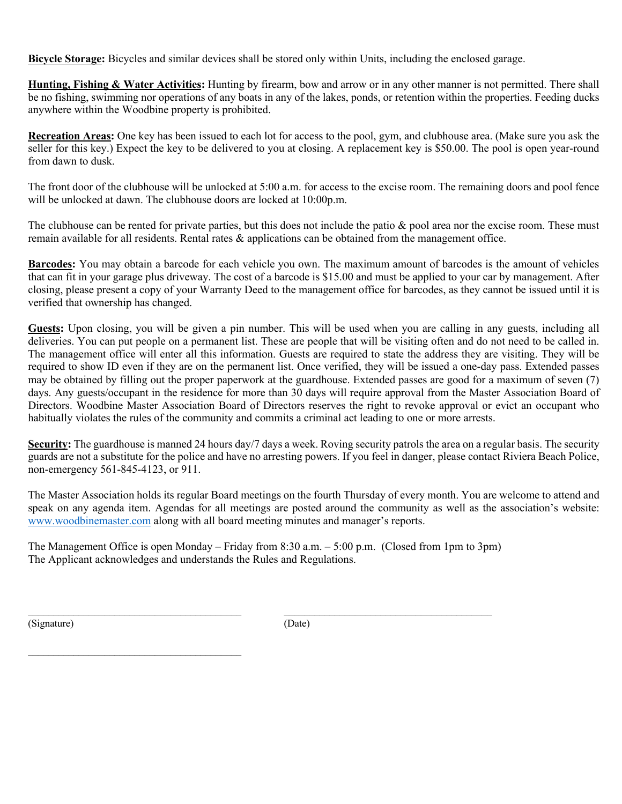**Bicycle Storage:** Bicycles and similar devices shall be stored only within Units, including the enclosed garage.

**Hunting, Fishing & Water Activities:** Hunting by firearm, bow and arrow or in any other manner is not permitted. There shall be no fishing, swimming nor operations of any boats in any of the lakes, ponds, or retention within the properties. Feeding ducks anywhere within the Woodbine property is prohibited.

**Recreation Areas:** One key has been issued to each lot for access to the pool, gym, and clubhouse area. (Make sure you ask the seller for this key.) Expect the key to be delivered to you at closing. A replacement key is \$50.00. The pool is open year-round from dawn to dusk.

The front door of the clubhouse will be unlocked at 5:00 a.m. for access to the excise room. The remaining doors and pool fence will be unlocked at dawn. The clubhouse doors are locked at 10:00p.m.

The clubhouse can be rented for private parties, but this does not include the patio & pool area nor the excise room. These must remain available for all residents. Rental rates & applications can be obtained from the management office.

**Barcodes:** You may obtain a barcode for each vehicle you own. The maximum amount of barcodes is the amount of vehicles that can fit in your garage plus driveway. The cost of a barcode is \$15.00 and must be applied to your car by management. After closing, please present a copy of your Warranty Deed to the management office for barcodes, as they cannot be issued until it is verified that ownership has changed.

**Guests:** Upon closing, you will be given a pin number. This will be used when you are calling in any guests, including all deliveries. You can put people on a permanent list. These are people that will be visiting often and do not need to be called in. The management office will enter all this information. Guests are required to state the address they are visiting. They will be required to show ID even if they are on the permanent list. Once verified, they will be issued a one-day pass. Extended passes may be obtained by filling out the proper paperwork at the guardhouse. Extended passes are good for a maximum of seven (7) days. Any guests/occupant in the residence for more than 30 days will require approval from the Master Association Board of Directors. Woodbine Master Association Board of Directors reserves the right to revoke approval or evict an occupant who habitually violates the rules of the community and commits a criminal act leading to one or more arrests.

**Security:** The guardhouse is manned 24 hours day/7 days a week. Roving security patrols the area on a regular basis. The security guards are not a substitute for the police and have no arresting powers. If you feel in danger, please contact Riviera Beach Police, non-emergency 561-845-4123, or 911.

The Master Association holds its regular Board meetings on the fourth Thursday of every month. You are welcome to attend and speak on any agenda item. Agendas for all meetings are posted around the community as well as the association's website: www.woodbinemaster.com along with all board meeting minutes and manager's reports.

The Management Office is open Monday – Friday from 8:30 a.m. – 5:00 p.m. (Closed from 1pm to 3pm) The Applicant acknowledges and understands the Rules and Regulations.

(Signature) (Date)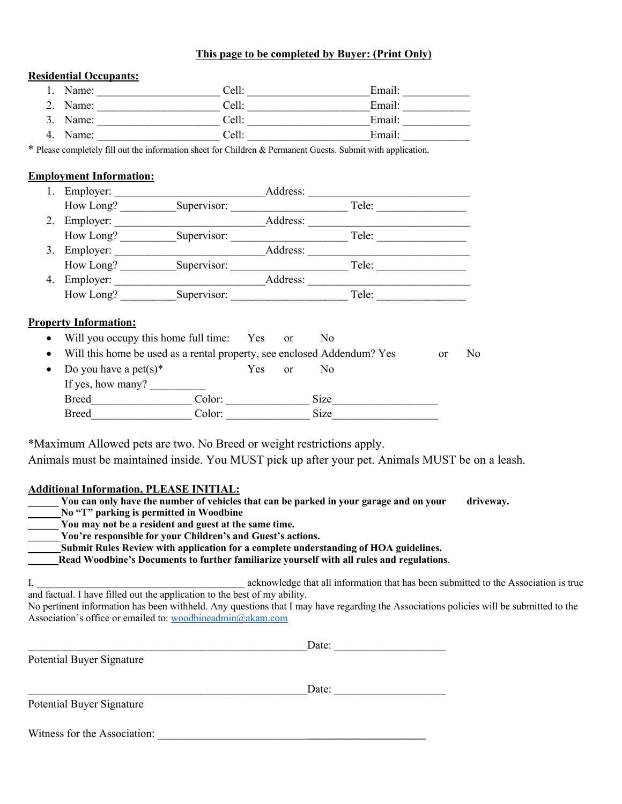#### **This page to be completed by Buyer: (Print Only)**

#### **Residential Occupants:**

|    | Name:    | Cell: | Email: |
|----|----------|-------|--------|
|    | 2. Name: | Cell: | Email: |
|    | 3. Name: | Cell: | Email: |
| 4. | Name:    | Cell: | Email: |

\* Please completely fill out the information sheet for Children & Permanent Guests. Submit with application.

#### **Employment Information:**

|    | Employer: |             | Address: |       |  |
|----|-----------|-------------|----------|-------|--|
|    | How Long? | Supervisor: |          | Tele: |  |
| 2. | Employer: |             | Address: |       |  |
|    | How Long? | Supervisor: |          | Tele: |  |
| 3. | Employer: |             | Address: |       |  |
|    | How Long? | Supervisor: |          | Tele: |  |
| 4. | Employer: |             | Address: |       |  |
|    | How Long? | Supervisor: |          | Tele: |  |

#### **Property Information:**

- Will you occupy this home full time: Yes or No
- Will this home be used as a rental property, see enclosed Addendum? Yes or No

| • Do you have a pet(s)* |        | Yes. | $\alpha$ | Nο   |  |
|-------------------------|--------|------|----------|------|--|
| If yes, how many?       |        |      |          |      |  |
| <b>Breed</b>            | Color: |      |          | Size |  |
| <b>Breed</b>            | Color: |      |          | Size |  |

\*Maximum Allowed pets are two. No Breed or weight restrictions apply.

Animals must be maintained inside. You MUST pick up after your pet. Animals MUST be on a leash.

### **Additional Information, PLEASE INITIAL:**

| You can only have the number of vehicles that can be parked in your garage and on your<br>driveway.                                    |  |  |  |  |  |
|----------------------------------------------------------------------------------------------------------------------------------------|--|--|--|--|--|
| No "T" parking is permitted in Woodbine                                                                                                |  |  |  |  |  |
| You may not be a resident and guest at the same time.                                                                                  |  |  |  |  |  |
| You're responsible for your Children's and Guest's actions.                                                                            |  |  |  |  |  |
| Submit Rules Review with application for a complete understanding of HOA guidelines.                                                   |  |  |  |  |  |
| Read Woodbine's Documents to further familiarize yourself with all rules and regulations.                                              |  |  |  |  |  |
|                                                                                                                                        |  |  |  |  |  |
| acknowledge that all information that has been submitted to the Association is true                                                    |  |  |  |  |  |
| and factual. I have filled out the application to the best of my ability.                                                              |  |  |  |  |  |
| No pertinent information has been withheld. Any questions that I may have regarding the Associations policies will be submitted to the |  |  |  |  |  |
| Association's office or emailed to: woodbineadmin@akam.com                                                                             |  |  |  |  |  |
|                                                                                                                                        |  |  |  |  |  |
| Date:                                                                                                                                  |  |  |  |  |  |
|                                                                                                                                        |  |  |  |  |  |
| Potential Buyer Signature                                                                                                              |  |  |  |  |  |
|                                                                                                                                        |  |  |  |  |  |
| Date:                                                                                                                                  |  |  |  |  |  |
| <b>Potential Buyer Signature</b>                                                                                                       |  |  |  |  |  |

Witness for the Association: